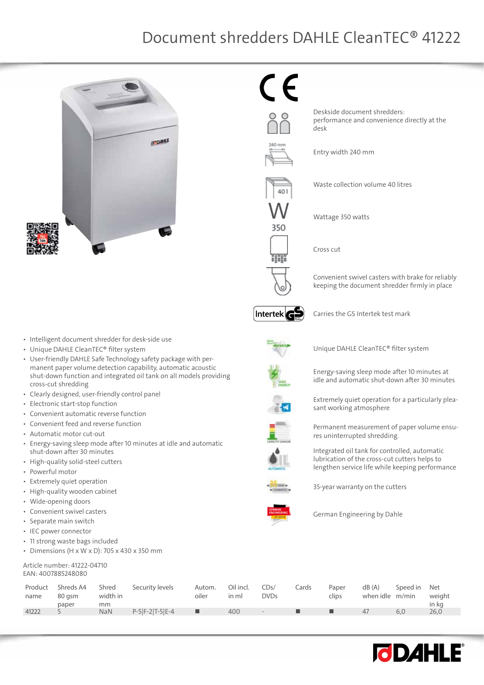

 $\epsilon$ 

Deskside document shredders: performance and convenience directly at the desk

35C

HH

Waste collection volume 40 litres

Wattage 350 watts

Entry width 240 mm

Cross cut

Convenient swivel casters with brake for reliably keeping the document shredder firmly in place



Carries the GS Intertek test mark



Unique DAHLE CleanTEC® filter system

Energy-saving sleep mode after 10 minutes at idle and automatic shut-down after 30 minutes

Extremely quiet operation for a particularly pleasant working atmosphere

Permanent measurement of paper volume ensures uninterrupted shredding.

Integrated oil tank for controlled, automatic lubrication of the cross-cut cutters helps to lengthen service life while keeping performance



35-year warranty on the cutters

German Engineering by Dahle

Product name Shreds A4 80 gsm paper Shred width in mm<br>NaN Security levels Autom. oiler Oil incl. in ml CDs/ DVDs Cards Paper clips dB (A) when idle m/min Speed in Net weight in kg<br>26.0 41222 5 NaN P-5|F-2|T-5|E-4 ■ 400 - ■ ■ 47 6,0 26,0



• Intelligent document shredder for desk-side use

- • Unique DAHLE CleanTEC® filter system
- • User-friendly DAHLE Safe Technology safety package with permanent paper volume detection capability, automatic acoustic shut-down function and integrated oil tank on all models providing cross-cut shredding
- • Clearly designed, user-friendly control panel
- • Electronic start-stop function
- Convenient automatic reverse function
- • Convenient feed and reverse function
- Automatic motor cut-out
- • Energy-saving sleep mode after 10 minutes at idle and automatic shut-down after 30 minutes
- High-quality solid-steel cutters
- • Powerful motor
- **Extremely quiet operation**
- • High-quality wooden cabinet
- • Wide-opening doors
- Convenient swivel casters
- • Separate main switch
- • IEC power connector
- 11 strong waste bags included
- Dimensions (H  $\times$  W  $\times$  D): 705  $\times$  430  $\times$  350 mm

#### Article number: 41222-04710 EAN: 4007885248080



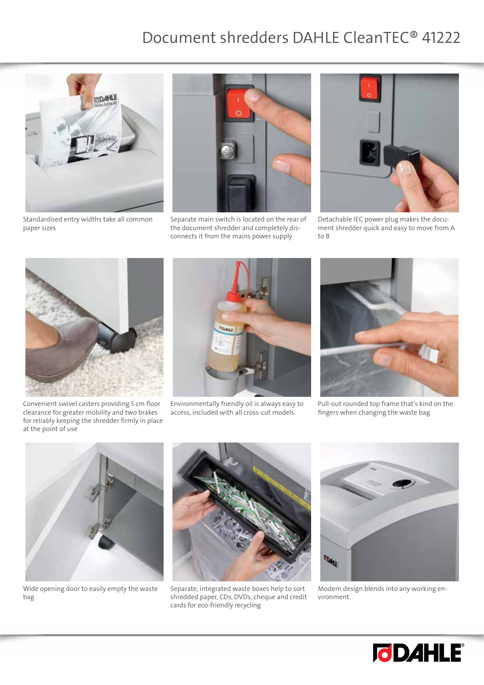

Standardised entry widths take all common paper sizes



Separate main switch is located on the rear of the document shredder and completely disconnects it from the mains power supply



Detachable IEC power plug makes the document shredder quick and easy to move from A to B



Convenient swivel casters providing 5 cm floor clearance for greater mobility and two brakes for reliably keeping the shredder firmly in place at the point of use



Environmentally friendly oil is always easy to access, included with all cross-cut models



Pull-out rounded top frame that's kind on the fingers when changing the waste bag



Wide opening door to easily empty the waste bag



Separate, integrated waste boxes help to sort shredded paper, CDs, DVDs, cheque and credit cards for eco-friendly recycling



Modern design blends into any working environment.

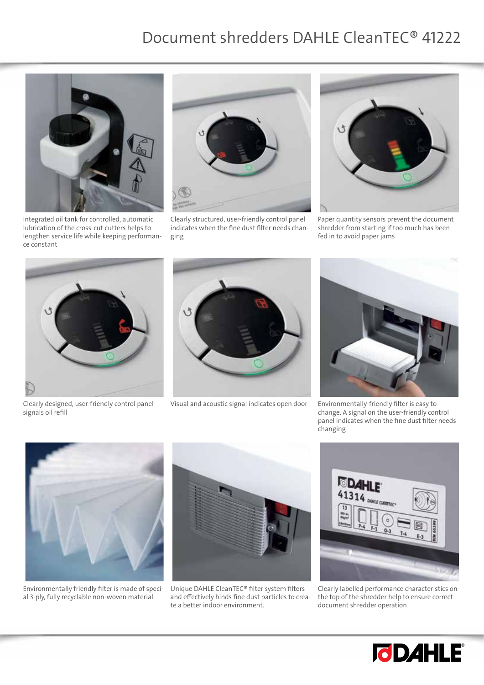

Integrated oil tank for controlled, automatic lubrication of the cross-cut cutters helps to lengthen service life while keeping performance constant



Clearly structured, user-friendly control panel indicates when the fine dust filter needs changing



Paper quantity sensors prevent the document shredder from starting if too much has been fed in to avoid paper jams



Clearly designed, user-friendly control panel signals oil refill



Visual and acoustic signal indicates open door Environmentally-friendly filter is easy to



change. A signal on the user-friendly control panel indicates when the fine dust filter needs changing



Environmentally friendly filter is made of special 3-ply, fully recyclable non-woven material



Unique DAHLE CleanTEC® filter system filters and effectively binds fine dust particles to create a better indoor environment.



Clearly labelled performance characteristics on the top of the shredder help to ensure correct document shredder operation